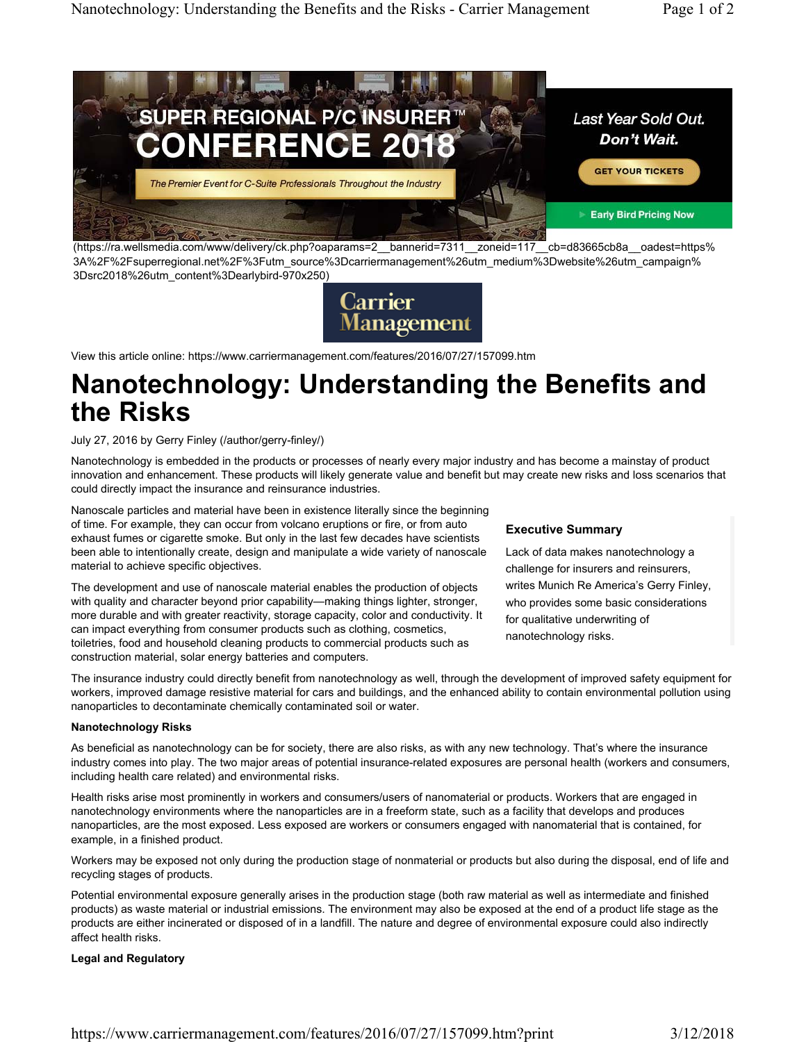

(https://ra.wellsmedia.com/www/delivery/ck.php?oaparams=2\_\_bannerid=7311\_\_zoneid=117\_\_cb=d83665cb8a\_\_oadest=https% 3A%2F%2Fsuperregional.net%2F%3Futm\_source%3Dcarriermanagement%26utm\_medium%3Dwebsite%26utm\_campaign% 3Dsrc2018%26utm\_content%3Dearlybird-970x250)



View this article online: https://www.carriermanagement.com/features/2016/07/27/157099.htm

# **Nanotechnology: Understanding the Benefits and the Risks**

July 27, 2016 by Gerry Finley (/author/gerry-finley/)

Nanotechnology is embedded in the products or processes of nearly every major industry and has become a mainstay of product innovation and enhancement. These products will likely generate value and benefit but may create new risks and loss scenarios that could directly impact the insurance and reinsurance industries.

Nanoscale particles and material have been in existence literally since the beginning of time. For example, they can occur from volcano eruptions or fire, or from auto exhaust fumes or cigarette smoke. But only in the last few decades have scientists been able to intentionally create, design and manipulate a wide variety of nanoscale material to achieve specific objectives.

The development and use of nanoscale material enables the production of objects with quality and character beyond prior capability—making things lighter, stronger, more durable and with greater reactivity, storage capacity, color and conductivity. It can impact everything from consumer products such as clothing, cosmetics, toiletries, food and household cleaning products to commercial products such as construction material, solar energy batteries and computers.

## **Executive Summary**

Lack of data makes nanotechnology a challenge for insurers and reinsurers, writes Munich Re America's Gerry Finley, who provides some basic considerations for qualitative underwriting of nanotechnology risks.

The insurance industry could directly benefit from nanotechnology as well, through the development of improved safety equipment for workers, improved damage resistive material for cars and buildings, and the enhanced ability to contain environmental pollution using nanoparticles to decontaminate chemically contaminated soil or water.

## **Nanotechnology Risks**

As beneficial as nanotechnology can be for society, there are also risks, as with any new technology. That's where the insurance industry comes into play. The two major areas of potential insurance-related exposures are personal health (workers and consumers, including health care related) and environmental risks.

Health risks arise most prominently in workers and consumers/users of nanomaterial or products. Workers that are engaged in nanotechnology environments where the nanoparticles are in a freeform state, such as a facility that develops and produces nanoparticles, are the most exposed. Less exposed are workers or consumers engaged with nanomaterial that is contained, for example, in a finished product.

Workers may be exposed not only during the production stage of nonmaterial or products but also during the disposal, end of life and recycling stages of products.

Potential environmental exposure generally arises in the production stage (both raw material as well as intermediate and finished products) as waste material or industrial emissions. The environment may also be exposed at the end of a product life stage as the products are either incinerated or disposed of in a landfill. The nature and degree of environmental exposure could also indirectly affect health risks.

## **Legal and Regulatory**